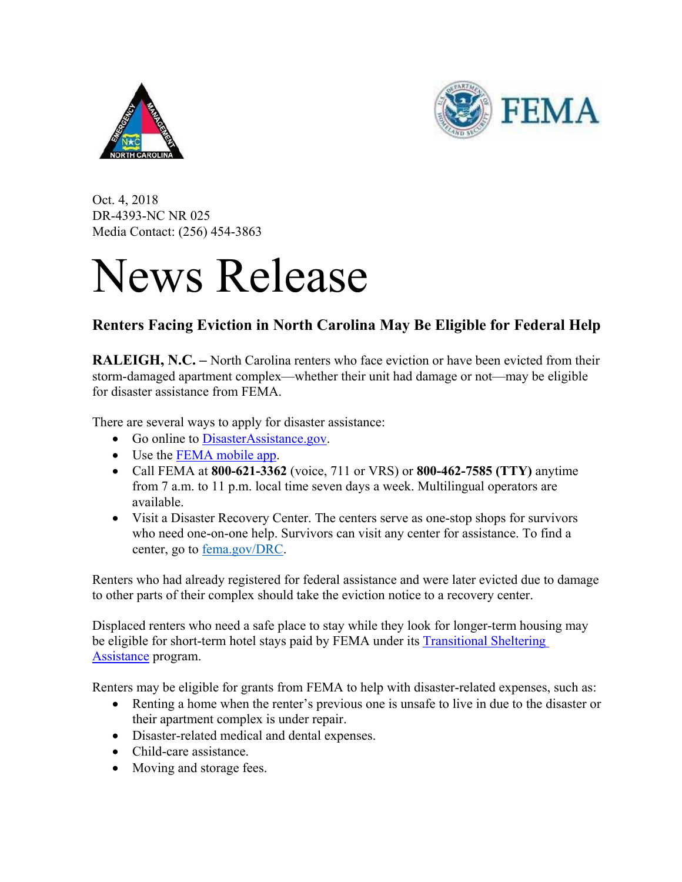



Oct. 4, 2018 DR-4393-NC NR 025 Media Contact: (256) 454-3863

## News Release

## **Renters Facing Eviction in North Carolina May Be Eligible for Federal Help**

**RALEIGH, N.C. –** North Carolina renters who face eviction or have been evicted from their storm-damaged apartment complex—whether their unit had damage or not—may be eligible for disaster assistance from FEMA.

There are several ways to apply for disaster assistance:

- Go online to DisasterAssistance.gov.
- Use the FEMA mobile app.
- Call FEMA at **800-621-3362** (voice, 711 or VRS) or **800-462-7585 (TTY)** anytime from 7 a.m. to 11 p.m. local time seven days a week. Multilingual operators are available.
- Visit a Disaster Recovery Center. The centers serve as one-stop shops for survivors who need one-on-one help. Survivors can visit any center for assistance. To find a center, go to fema.gov/DRC.

Renters who had already registered for federal assistance and were later evicted due to damage to other parts of their complex should take the eviction notice to a recovery center.

Displaced renters who need a safe place to stay while they look for longer-term housing may be eligible for short-term hotel stays paid by FEMA under its **Transitional Sheltering** Assistance program.

Renters may be eligible for grants from FEMA to help with disaster-related expenses, such as:

- Renting a home when the renter's previous one is unsafe to live in due to the disaster or their apartment complex is under repair.
- Disaster-related medical and dental expenses.
- Child-care assistance.
- Moving and storage fees.